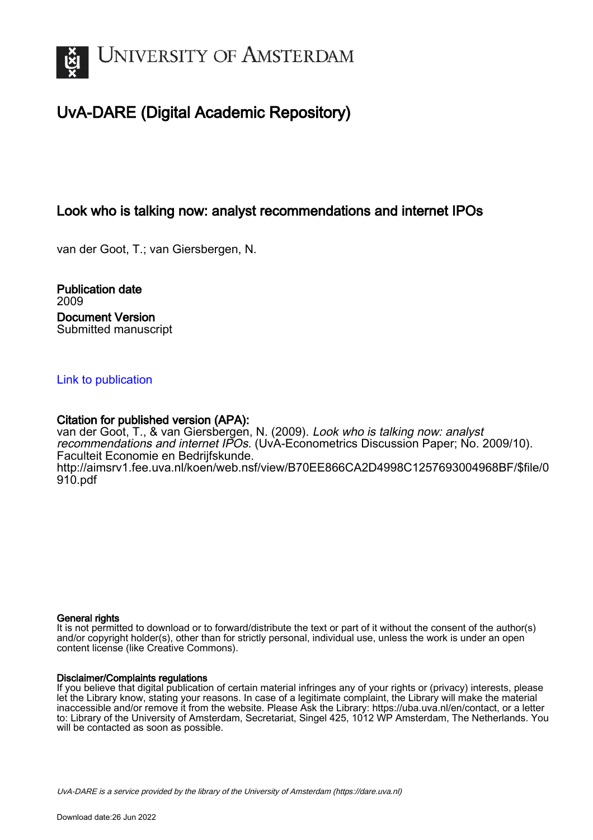

# UvA-DARE (Digital Academic Repository)

# Look who is talking now: analyst recommendations and internet IPOs

van der Goot, T.; van Giersbergen, N.

Publication date 2009 Document Version Submitted manuscript

## [Link to publication](https://dare.uva.nl/personal/pure/en/publications/look-who-is-talking-now-analyst-recommendations-and-internet-ipos(d7b15b73-1746-461e-9986-1d61412e230d).html)

## Citation for published version (APA):

van der Goot, T., & van Giersbergen, N. (2009). Look who is talking now: analyst recommendations and internet IPOs. (UvA-Econometrics Discussion Paper; No. 2009/10). Faculteit Economie en Bedrijfskunde. [http://aimsrv1.fee.uva.nl/koen/web.nsf/view/B70EE866CA2D4998C1257693004968BF/\\$file/0](http://aimsrv1.fee.uva.nl/koen/web.nsf/view/B70EE866CA2D4998C1257693004968BF/$file/0910.pdf) [910.pdf](http://aimsrv1.fee.uva.nl/koen/web.nsf/view/B70EE866CA2D4998C1257693004968BF/$file/0910.pdf)

#### General rights

It is not permitted to download or to forward/distribute the text or part of it without the consent of the author(s) and/or copyright holder(s), other than for strictly personal, individual use, unless the work is under an open content license (like Creative Commons).

## Disclaimer/Complaints regulations

If you believe that digital publication of certain material infringes any of your rights or (privacy) interests, please let the Library know, stating your reasons. In case of a legitimate complaint, the Library will make the material inaccessible and/or remove it from the website. Please Ask the Library: https://uba.uva.nl/en/contact, or a letter to: Library of the University of Amsterdam, Secretariat, Singel 425, 1012 WP Amsterdam, The Netherlands. You will be contacted as soon as possible.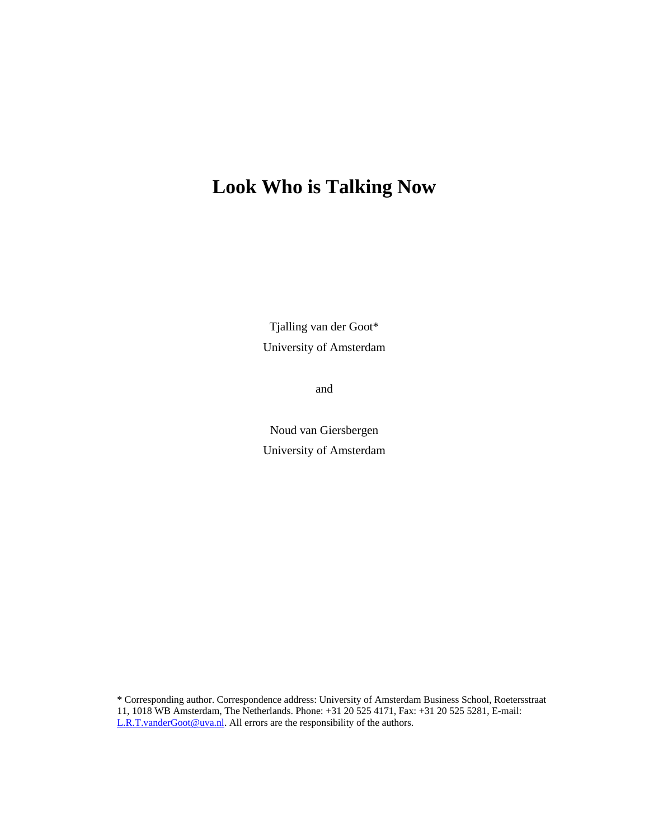# **Look Who is Talking Now**

Tjalling van der Goot\* University of Amsterdam

and

Noud van Giersbergen University of Amsterdam

\* Corresponding author. Correspondence address: University of Amsterdam Business School, Roetersstraat 11, 1018 WB Amsterdam, The Netherlands. Phone: +31 20 525 4171, Fax: +31 20 525 5281, E-mail: L.R.T.vanderGoot@uva.nl. All errors are the responsibility of the authors.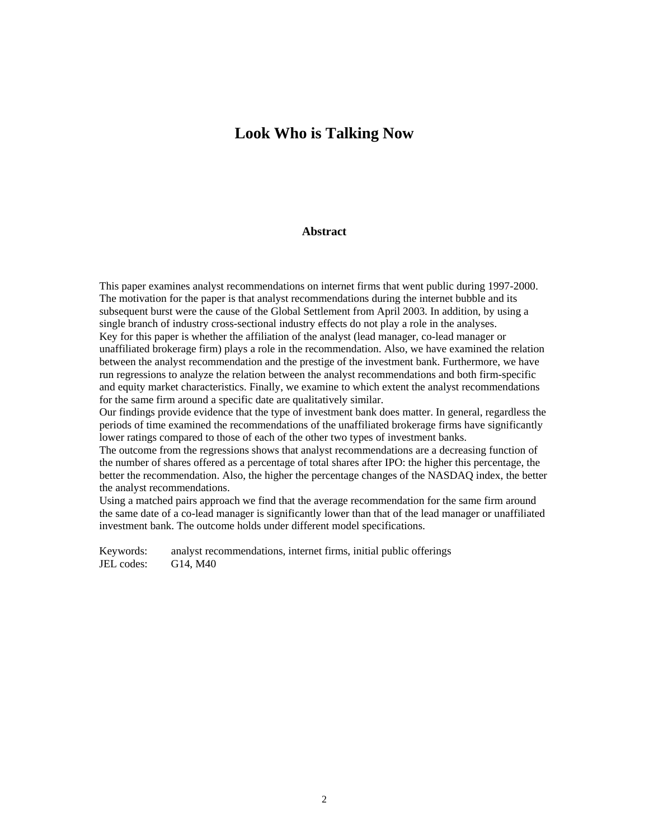# **Look Who is Talking Now**

#### **Abstract**

This paper examines analyst recommendations on internet firms that went public during 1997-2000. The motivation for the paper is that analyst recommendations during the internet bubble and its subsequent burst were the cause of the Global Settlement from April 2003. In addition, by using a single branch of industry cross-sectional industry effects do not play a role in the analyses. Key for this paper is whether the affiliation of the analyst (lead manager, co-lead manager or unaffiliated brokerage firm) plays a role in the recommendation. Also, we have examined the relation between the analyst recommendation and the prestige of the investment bank. Furthermore, we have run regressions to analyze the relation between the analyst recommendations and both firm-specific and equity market characteristics. Finally, we examine to which extent the analyst recommendations for the same firm around a specific date are qualitatively similar.

Our findings provide evidence that the type of investment bank does matter. In general, regardless the periods of time examined the recommendations of the unaffiliated brokerage firms have significantly lower ratings compared to those of each of the other two types of investment banks.

The outcome from the regressions shows that analyst recommendations are a decreasing function of the number of shares offered as a percentage of total shares after IPO: the higher this percentage, the better the recommendation. Also, the higher the percentage changes of the NASDAQ index, the better the analyst recommendations.

Using a matched pairs approach we find that the average recommendation for the same firm around the same date of a co-lead manager is significantly lower than that of the lead manager or unaffiliated investment bank. The outcome holds under different model specifications.

Keywords: analyst recommendations, internet firms, initial public offerings JEL codes: G14, M40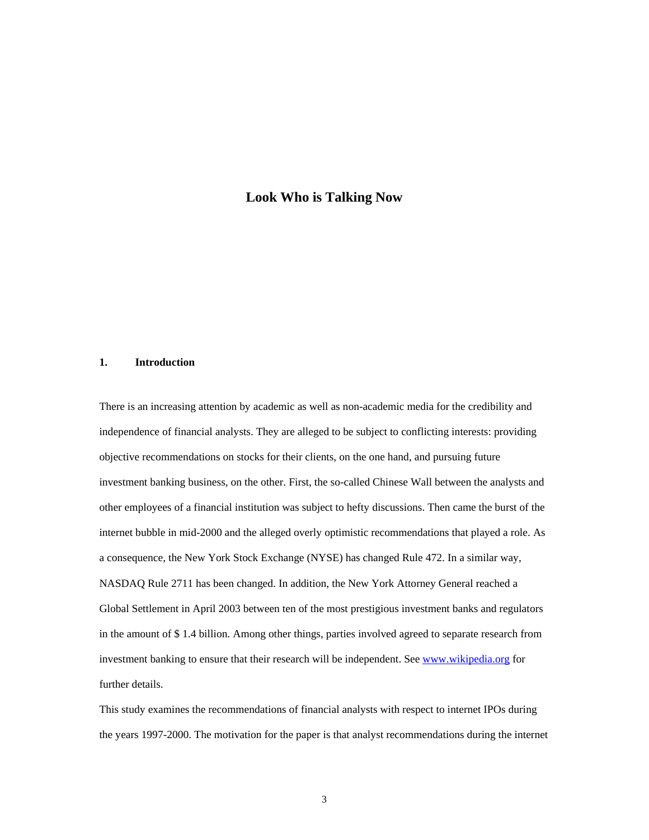## **Look Who is Talking Now**

## **1. Introduction**

There is an increasing attention by academic as well as non-academic media for the credibility and independence of financial analysts. They are alleged to be subject to conflicting interests: providing objective recommendations on stocks for their clients, on the one hand, and pursuing future investment banking business, on the other. First, the so-called Chinese Wall between the analysts and other employees of a financial institution was subject to hefty discussions. Then came the burst of the internet bubble in mid-2000 and the alleged overly optimistic recommendations that played a role. As a consequence, the New York Stock Exchange (NYSE) has changed Rule 472. In a similar way, NASDAQ Rule 2711 has been changed. In addition, the New York Attorney General reached a Global Settlement in April 2003 between ten of the most prestigious investment banks and regulators in the amount of \$ 1.4 billion. Among other things, parties involved agreed to separate research from investment banking to ensure that their research will be independent. See www.wikipedia.org for further details.

This study examines the recommendations of financial analysts with respect to internet IPOs during the years 1997-2000. The motivation for the paper is that analyst recommendations during the internet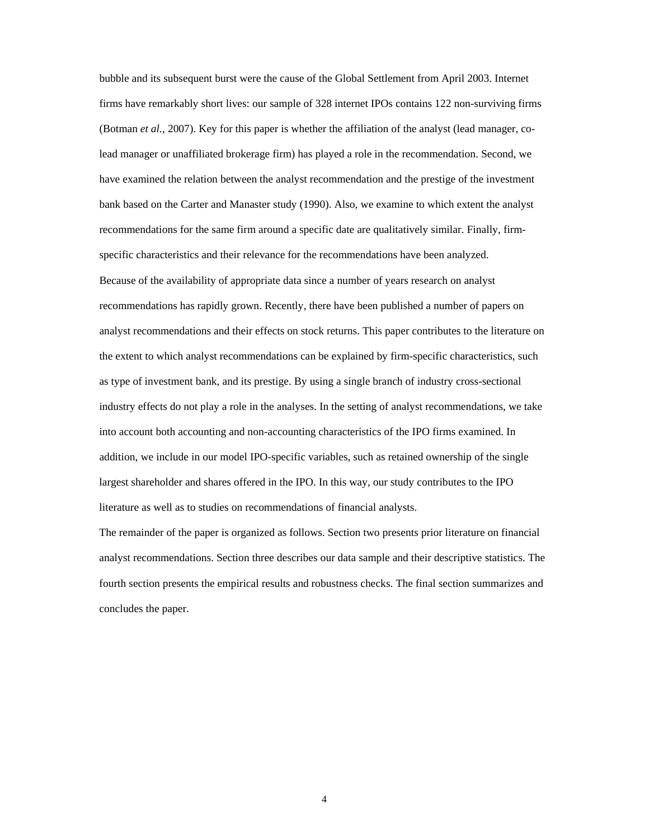bubble and its subsequent burst were the cause of the Global Settlement from April 2003. Internet firms have remarkably short lives: our sample of 328 internet IPOs contains 122 non-surviving firms (Botman *et al.*, 2007). Key for this paper is whether the affiliation of the analyst (lead manager, colead manager or unaffiliated brokerage firm) has played a role in the recommendation. Second, we have examined the relation between the analyst recommendation and the prestige of the investment bank based on the Carter and Manaster study (1990). Also, we examine to which extent the analyst recommendations for the same firm around a specific date are qualitatively similar. Finally, firmspecific characteristics and their relevance for the recommendations have been analyzed. Because of the availability of appropriate data since a number of years research on analyst recommendations has rapidly grown. Recently, there have been published a number of papers on analyst recommendations and their effects on stock returns. This paper contributes to the literature on the extent to which analyst recommendations can be explained by firm-specific characteristics, such as type of investment bank, and its prestige. By using a single branch of industry cross-sectional industry effects do not play a role in the analyses. In the setting of analyst recommendations, we take into account both accounting and non-accounting characteristics of the IPO firms examined. In addition, we include in our model IPO-specific variables, such as retained ownership of the single largest shareholder and shares offered in the IPO. In this way, our study contributes to the IPO literature as well as to studies on recommendations of financial analysts.

The remainder of the paper is organized as follows. Section two presents prior literature on financial analyst recommendations. Section three describes our data sample and their descriptive statistics. The fourth section presents the empirical results and robustness checks. The final section summarizes and concludes the paper.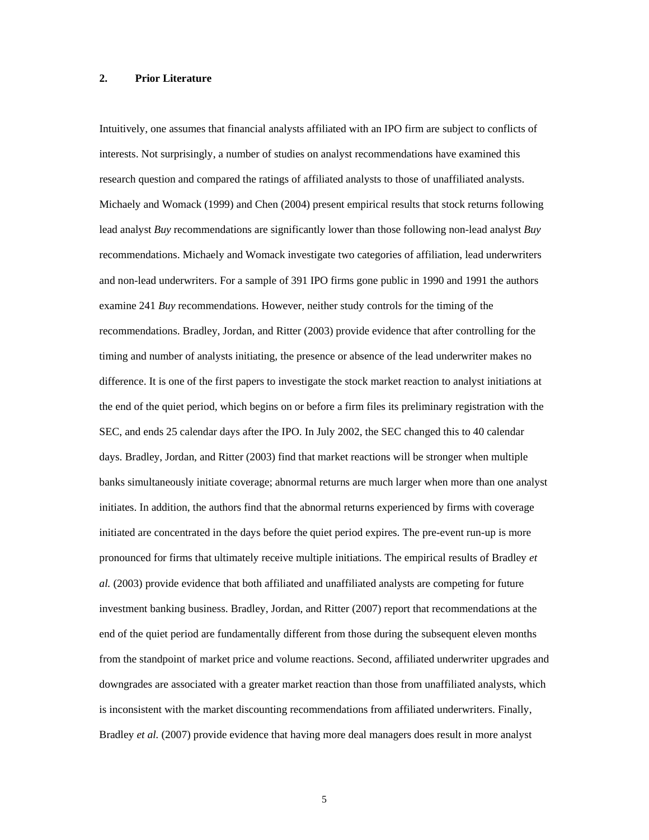#### **2. Prior Literature**

Intuitively, one assumes that financial analysts affiliated with an IPO firm are subject to conflicts of interests. Not surprisingly, a number of studies on analyst recommendations have examined this research question and compared the ratings of affiliated analysts to those of unaffiliated analysts. Michaely and Womack (1999) and Chen (2004) present empirical results that stock returns following lead analyst *Buy* recommendations are significantly lower than those following non-lead analyst *Buy*  recommendations. Michaely and Womack investigate two categories of affiliation, lead underwriters and non-lead underwriters. For a sample of 391 IPO firms gone public in 1990 and 1991 the authors examine 241 *Buy* recommendations. However, neither study controls for the timing of the recommendations. Bradley, Jordan, and Ritter (2003) provide evidence that after controlling for the timing and number of analysts initiating, the presence or absence of the lead underwriter makes no difference. It is one of the first papers to investigate the stock market reaction to analyst initiations at the end of the quiet period, which begins on or before a firm files its preliminary registration with the SEC, and ends 25 calendar days after the IPO. In July 2002, the SEC changed this to 40 calendar days. Bradley, Jordan, and Ritter (2003) find that market reactions will be stronger when multiple banks simultaneously initiate coverage; abnormal returns are much larger when more than one analyst initiates. In addition, the authors find that the abnormal returns experienced by firms with coverage initiated are concentrated in the days before the quiet period expires. The pre-event run-up is more pronounced for firms that ultimately receive multiple initiations. The empirical results of Bradley *et al.* (2003) provide evidence that both affiliated and unaffiliated analysts are competing for future investment banking business. Bradley, Jordan, and Ritter (2007) report that recommendations at the end of the quiet period are fundamentally different from those during the subsequent eleven months from the standpoint of market price and volume reactions. Second, affiliated underwriter upgrades and downgrades are associated with a greater market reaction than those from unaffiliated analysts, which is inconsistent with the market discounting recommendations from affiliated underwriters. Finally, Bradley *et al.* (2007) provide evidence that having more deal managers does result in more analyst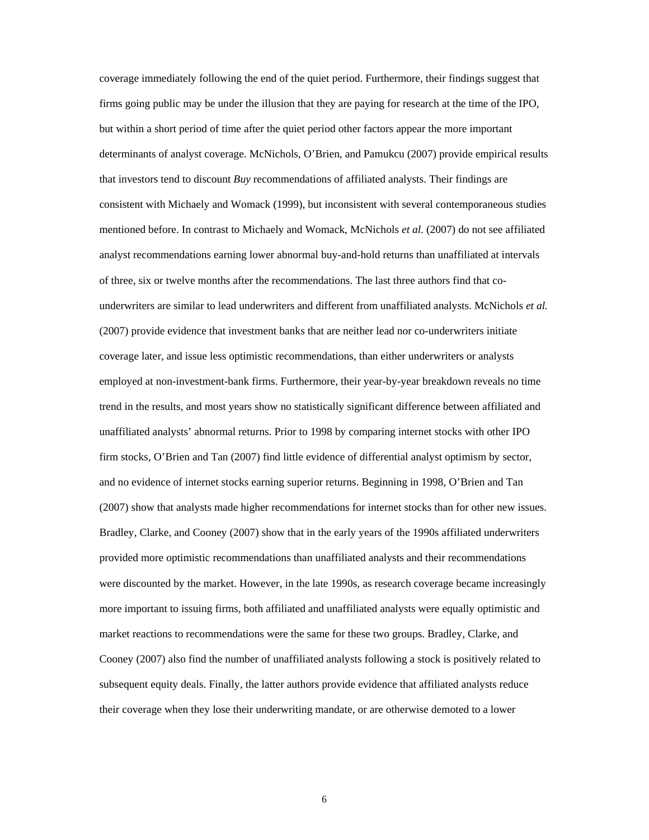coverage immediately following the end of the quiet period. Furthermore, their findings suggest that firms going public may be under the illusion that they are paying for research at the time of the IPO, but within a short period of time after the quiet period other factors appear the more important determinants of analyst coverage. McNichols, O'Brien, and Pamukcu (2007) provide empirical results that investors tend to discount *Buy* recommendations of affiliated analysts. Their findings are consistent with Michaely and Womack (1999), but inconsistent with several contemporaneous studies mentioned before. In contrast to Michaely and Womack, McNichols *et al.* (2007) do not see affiliated analyst recommendations earning lower abnormal buy-and-hold returns than unaffiliated at intervals of three, six or twelve months after the recommendations. The last three authors find that counderwriters are similar to lead underwriters and different from unaffiliated analysts. McNichols *et al.*  (2007) provide evidence that investment banks that are neither lead nor co-underwriters initiate coverage later, and issue less optimistic recommendations, than either underwriters or analysts employed at non-investment-bank firms. Furthermore, their year-by-year breakdown reveals no time trend in the results, and most years show no statistically significant difference between affiliated and unaffiliated analysts' abnormal returns. Prior to 1998 by comparing internet stocks with other IPO firm stocks, O'Brien and Tan (2007) find little evidence of differential analyst optimism by sector, and no evidence of internet stocks earning superior returns. Beginning in 1998, O'Brien and Tan (2007) show that analysts made higher recommendations for internet stocks than for other new issues. Bradley, Clarke, and Cooney (2007) show that in the early years of the 1990s affiliated underwriters provided more optimistic recommendations than unaffiliated analysts and their recommendations were discounted by the market. However, in the late 1990s, as research coverage became increasingly more important to issuing firms, both affiliated and unaffiliated analysts were equally optimistic and market reactions to recommendations were the same for these two groups. Bradley, Clarke, and Cooney (2007) also find the number of unaffiliated analysts following a stock is positively related to subsequent equity deals. Finally, the latter authors provide evidence that affiliated analysts reduce their coverage when they lose their underwriting mandate, or are otherwise demoted to a lower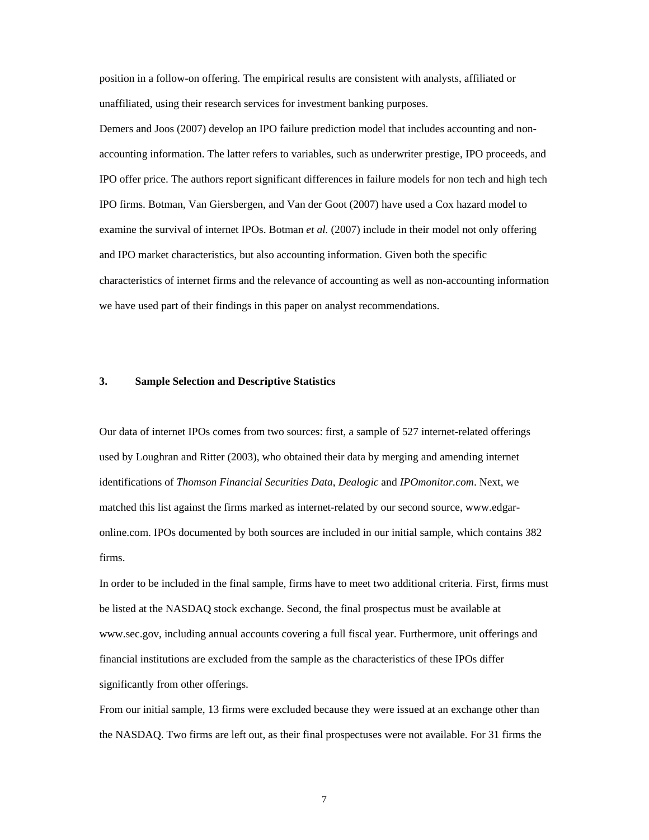position in a follow-on offering. The empirical results are consistent with analysts, affiliated or unaffiliated, using their research services for investment banking purposes.

Demers and Joos (2007) develop an IPO failure prediction model that includes accounting and nonaccounting information. The latter refers to variables, such as underwriter prestige, IPO proceeds, and IPO offer price. The authors report significant differences in failure models for non tech and high tech IPO firms. Botman, Van Giersbergen, and Van der Goot (2007) have used a Cox hazard model to examine the survival of internet IPOs. Botman *et al.* (2007) include in their model not only offering and IPO market characteristics, but also accounting information. Given both the specific characteristics of internet firms and the relevance of accounting as well as non-accounting information we have used part of their findings in this paper on analyst recommendations.

#### **3. Sample Selection and Descriptive Statistics**

Our data of internet IPOs comes from two sources: first, a sample of 527 internet-related offerings used by Loughran and Ritter (2003), who obtained their data by merging and amending internet identifications of *Thomson Financial Securities Data*, *Dealogic* and *IPOmonitor.com*. Next, we matched this list against the firms marked as internet-related by our second source, www.edgaronline.com. IPOs documented by both sources are included in our initial sample, which contains 382 firms.

In order to be included in the final sample, firms have to meet two additional criteria. First, firms must be listed at the NASDAQ stock exchange. Second, the final prospectus must be available at www.sec.gov, including annual accounts covering a full fiscal year. Furthermore, unit offerings and financial institutions are excluded from the sample as the characteristics of these IPOs differ significantly from other offerings.

From our initial sample, 13 firms were excluded because they were issued at an exchange other than the NASDAQ. Two firms are left out, as their final prospectuses were not available. For 31 firms the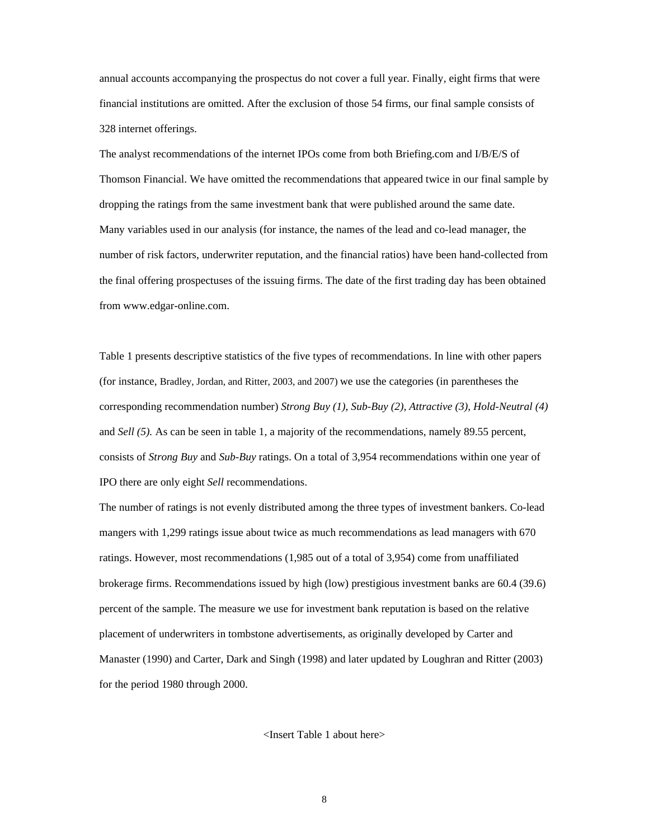annual accounts accompanying the prospectus do not cover a full year. Finally, eight firms that were financial institutions are omitted. After the exclusion of those 54 firms, our final sample consists of 328 internet offerings.

The analyst recommendations of the internet IPOs come from both Briefing.com and I/B/E/S of Thomson Financial. We have omitted the recommendations that appeared twice in our final sample by dropping the ratings from the same investment bank that were published around the same date. Many variables used in our analysis (for instance, the names of the lead and co-lead manager, the number of risk factors, underwriter reputation, and the financial ratios) have been hand-collected from the final offering prospectuses of the issuing firms. The date of the first trading day has been obtained from www.edgar-online.com.

Table 1 presents descriptive statistics of the five types of recommendations. In line with other papers (for instance, Bradley, Jordan, and Ritter, 2003, and 2007) we use the categories (in parentheses the corresponding recommendation number) *Strong Buy (1), Sub-Buy (2), Attractive (3), Hold-Neutral (4)*  and *Sell (5).* As can be seen in table 1, a majority of the recommendations, namely 89.55 percent, consists of *Strong Buy* and *Sub-Buy* ratings. On a total of 3,954 recommendations within one year of IPO there are only eight *Sell* recommendations.

The number of ratings is not evenly distributed among the three types of investment bankers. Co-lead mangers with 1,299 ratings issue about twice as much recommendations as lead managers with 670 ratings. However, most recommendations (1,985 out of a total of 3,954) come from unaffiliated brokerage firms. Recommendations issued by high (low) prestigious investment banks are 60.4 (39.6) percent of the sample. The measure we use for investment bank reputation is based on the relative placement of underwriters in tombstone advertisements, as originally developed by Carter and Manaster (1990) and Carter, Dark and Singh (1998) and later updated by Loughran and Ritter (2003) for the period 1980 through 2000.

<Insert Table 1 about here>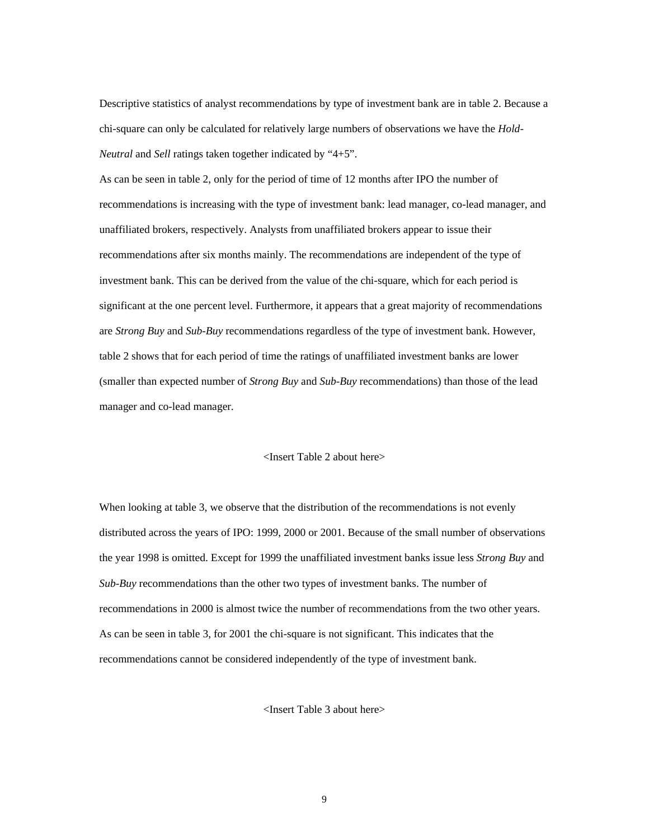Descriptive statistics of analyst recommendations by type of investment bank are in table 2. Because a chi-square can only be calculated for relatively large numbers of observations we have the *Hold-Neutral* and *Sell* ratings taken together indicated by "4+5".

As can be seen in table 2, only for the period of time of 12 months after IPO the number of recommendations is increasing with the type of investment bank: lead manager, co-lead manager, and unaffiliated brokers, respectively. Analysts from unaffiliated brokers appear to issue their recommendations after six months mainly. The recommendations are independent of the type of investment bank. This can be derived from the value of the chi-square, which for each period is significant at the one percent level. Furthermore, it appears that a great majority of recommendations are *Strong Buy* and *Sub-Buy* recommendations regardless of the type of investment bank. However, table 2 shows that for each period of time the ratings of unaffiliated investment banks are lower (smaller than expected number of *Strong Buy* and *Sub-Buy* recommendations) than those of the lead manager and co-lead manager.

#### <Insert Table 2 about here>

When looking at table 3, we observe that the distribution of the recommendations is not evenly distributed across the years of IPO: 1999, 2000 or 2001. Because of the small number of observations the year 1998 is omitted. Except for 1999 the unaffiliated investment banks issue less *Strong Buy* and *Sub-Buy* recommendations than the other two types of investment banks. The number of recommendations in 2000 is almost twice the number of recommendations from the two other years. As can be seen in table 3, for 2001 the chi-square is not significant. This indicates that the recommendations cannot be considered independently of the type of investment bank.

<Insert Table 3 about here>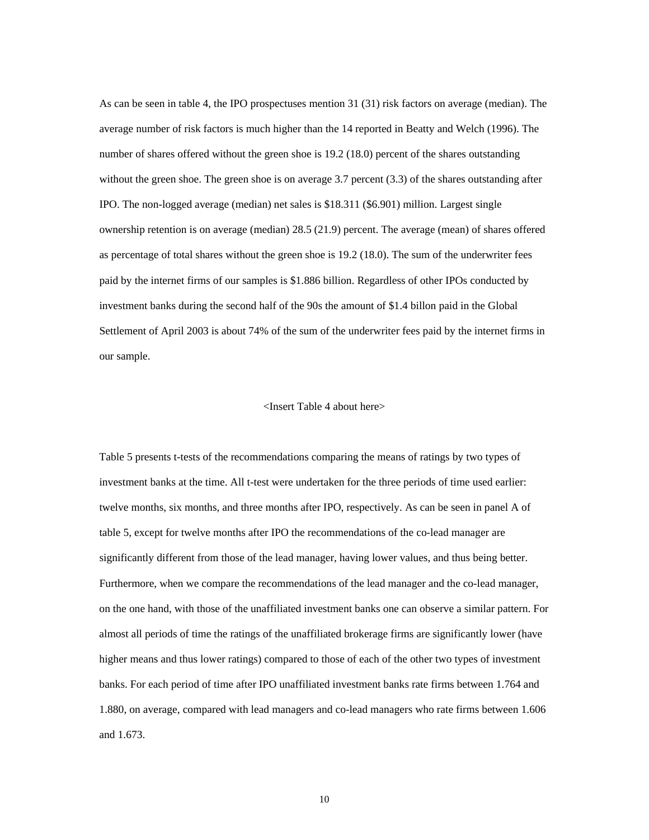As can be seen in table 4, the IPO prospectuses mention 31 (31) risk factors on average (median). The average number of risk factors is much higher than the 14 reported in Beatty and Welch (1996). The number of shares offered without the green shoe is 19.2 (18.0) percent of the shares outstanding without the green shoe. The green shoe is on average 3.7 percent (3.3) of the shares outstanding after IPO. The non-logged average (median) net sales is \$18.311 (\$6.901) million. Largest single ownership retention is on average (median) 28.5 (21.9) percent. The average (mean) of shares offered as percentage of total shares without the green shoe is 19.2 (18.0). The sum of the underwriter fees paid by the internet firms of our samples is \$1.886 billion. Regardless of other IPOs conducted by investment banks during the second half of the 90s the amount of \$1.4 billon paid in the Global Settlement of April 2003 is about 74% of the sum of the underwriter fees paid by the internet firms in our sample.

#### <Insert Table 4 about here>

Table 5 presents t-tests of the recommendations comparing the means of ratings by two types of investment banks at the time. All t-test were undertaken for the three periods of time used earlier: twelve months, six months, and three months after IPO, respectively. As can be seen in panel A of table 5, except for twelve months after IPO the recommendations of the co-lead manager are significantly different from those of the lead manager, having lower values, and thus being better. Furthermore, when we compare the recommendations of the lead manager and the co-lead manager, on the one hand, with those of the unaffiliated investment banks one can observe a similar pattern. For almost all periods of time the ratings of the unaffiliated brokerage firms are significantly lower (have higher means and thus lower ratings) compared to those of each of the other two types of investment banks. For each period of time after IPO unaffiliated investment banks rate firms between 1.764 and 1.880, on average, compared with lead managers and co-lead managers who rate firms between 1.606 and 1.673.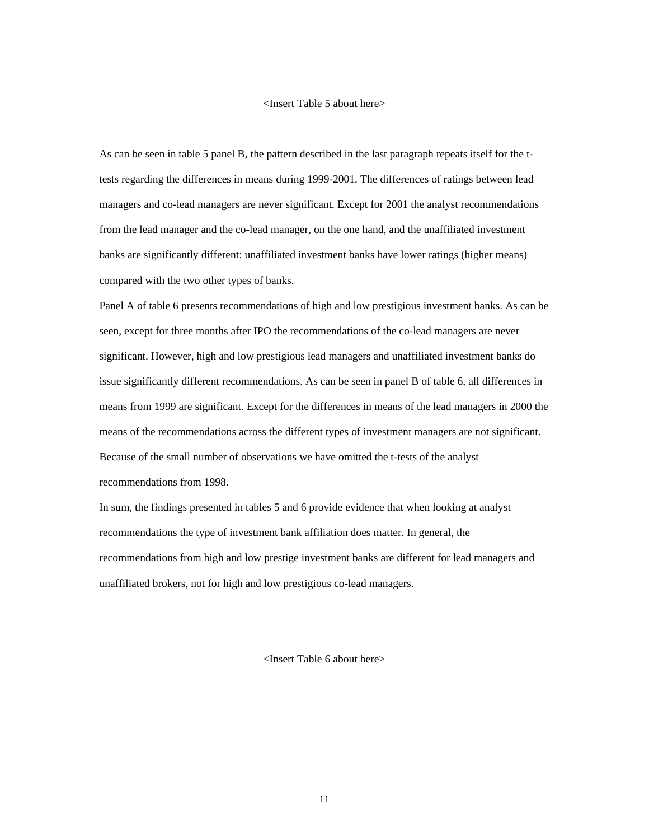#### <Insert Table 5 about here>

As can be seen in table 5 panel B, the pattern described in the last paragraph repeats itself for the ttests regarding the differences in means during 1999-2001. The differences of ratings between lead managers and co-lead managers are never significant. Except for 2001 the analyst recommendations from the lead manager and the co-lead manager, on the one hand, and the unaffiliated investment banks are significantly different: unaffiliated investment banks have lower ratings (higher means) compared with the two other types of banks.

Panel A of table 6 presents recommendations of high and low prestigious investment banks. As can be seen, except for three months after IPO the recommendations of the co-lead managers are never significant. However, high and low prestigious lead managers and unaffiliated investment banks do issue significantly different recommendations. As can be seen in panel B of table 6, all differences in means from 1999 are significant. Except for the differences in means of the lead managers in 2000 the means of the recommendations across the different types of investment managers are not significant. Because of the small number of observations we have omitted the t-tests of the analyst recommendations from 1998.

In sum, the findings presented in tables 5 and 6 provide evidence that when looking at analyst recommendations the type of investment bank affiliation does matter. In general, the recommendations from high and low prestige investment banks are different for lead managers and unaffiliated brokers, not for high and low prestigious co-lead managers.

<Insert Table 6 about here>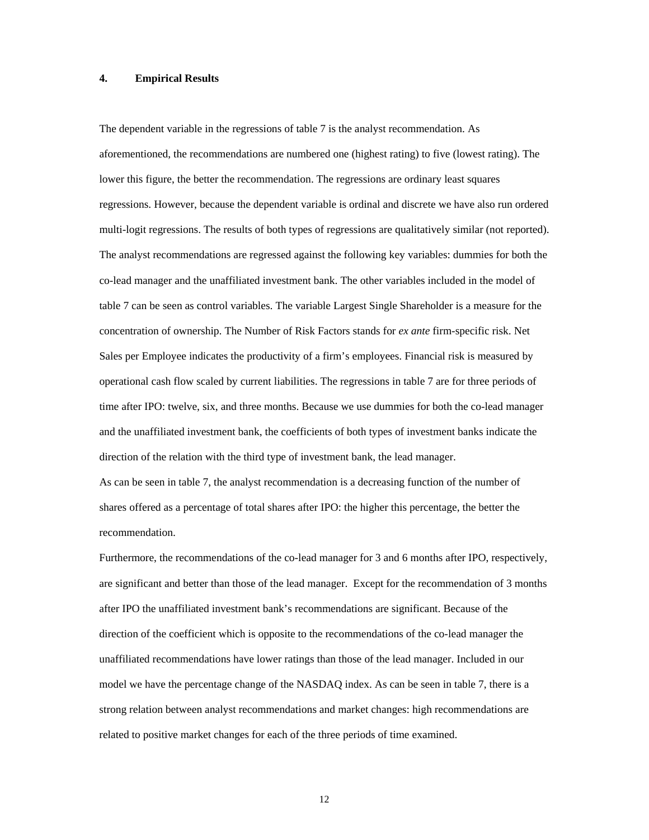#### **4. Empirical Results**

The dependent variable in the regressions of table 7 is the analyst recommendation. As aforementioned, the recommendations are numbered one (highest rating) to five (lowest rating). The lower this figure, the better the recommendation. The regressions are ordinary least squares regressions. However, because the dependent variable is ordinal and discrete we have also run ordered multi-logit regressions. The results of both types of regressions are qualitatively similar (not reported). The analyst recommendations are regressed against the following key variables: dummies for both the co-lead manager and the unaffiliated investment bank. The other variables included in the model of table 7 can be seen as control variables. The variable Largest Single Shareholder is a measure for the concentration of ownership. The Number of Risk Factors stands for *ex ante* firm-specific risk. Net Sales per Employee indicates the productivity of a firm's employees. Financial risk is measured by operational cash flow scaled by current liabilities. The regressions in table 7 are for three periods of time after IPO: twelve, six, and three months. Because we use dummies for both the co-lead manager and the unaffiliated investment bank, the coefficients of both types of investment banks indicate the direction of the relation with the third type of investment bank, the lead manager.

As can be seen in table 7, the analyst recommendation is a decreasing function of the number of shares offered as a percentage of total shares after IPO: the higher this percentage, the better the recommendation.

Furthermore, the recommendations of the co-lead manager for 3 and 6 months after IPO, respectively, are significant and better than those of the lead manager. Except for the recommendation of 3 months after IPO the unaffiliated investment bank's recommendations are significant. Because of the direction of the coefficient which is opposite to the recommendations of the co-lead manager the unaffiliated recommendations have lower ratings than those of the lead manager. Included in our model we have the percentage change of the NASDAQ index. As can be seen in table 7, there is a strong relation between analyst recommendations and market changes: high recommendations are related to positive market changes for each of the three periods of time examined.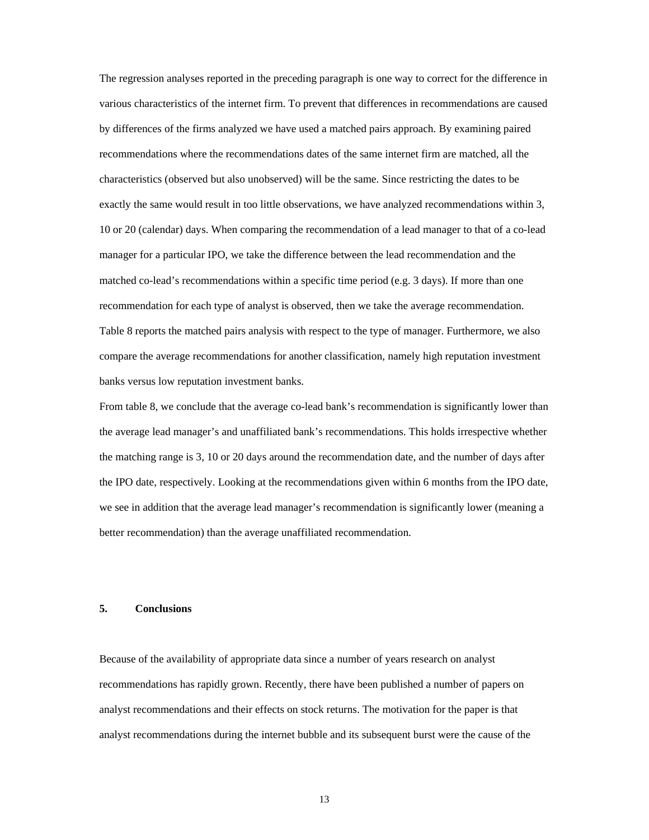The regression analyses reported in the preceding paragraph is one way to correct for the difference in various characteristics of the internet firm. To prevent that differences in recommendations are caused by differences of the firms analyzed we have used a matched pairs approach. By examining paired recommendations where the recommendations dates of the same internet firm are matched, all the characteristics (observed but also unobserved) will be the same. Since restricting the dates to be exactly the same would result in too little observations, we have analyzed recommendations within 3, 10 or 20 (calendar) days. When comparing the recommendation of a lead manager to that of a co-lead manager for a particular IPO, we take the difference between the lead recommendation and the matched co-lead's recommendations within a specific time period (e.g. 3 days). If more than one recommendation for each type of analyst is observed, then we take the average recommendation. Table 8 reports the matched pairs analysis with respect to the type of manager. Furthermore, we also compare the average recommendations for another classification, namely high reputation investment banks versus low reputation investment banks.

From table 8, we conclude that the average co-lead bank's recommendation is significantly lower than the average lead manager's and unaffiliated bank's recommendations. This holds irrespective whether the matching range is 3, 10 or 20 days around the recommendation date, and the number of days after the IPO date, respectively. Looking at the recommendations given within 6 months from the IPO date, we see in addition that the average lead manager's recommendation is significantly lower (meaning a better recommendation) than the average unaffiliated recommendation.

#### **5. Conclusions**

Because of the availability of appropriate data since a number of years research on analyst recommendations has rapidly grown. Recently, there have been published a number of papers on analyst recommendations and their effects on stock returns. The motivation for the paper is that analyst recommendations during the internet bubble and its subsequent burst were the cause of the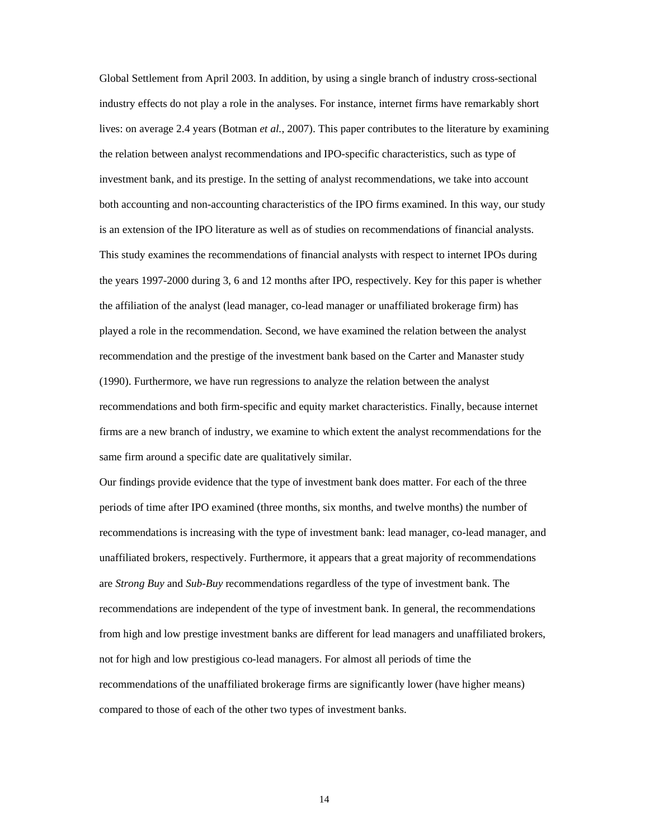Global Settlement from April 2003. In addition, by using a single branch of industry cross-sectional industry effects do not play a role in the analyses. For instance, internet firms have remarkably short lives: on average 2.4 years (Botman *et al.*, 2007). This paper contributes to the literature by examining the relation between analyst recommendations and IPO-specific characteristics, such as type of investment bank, and its prestige. In the setting of analyst recommendations, we take into account both accounting and non-accounting characteristics of the IPO firms examined. In this way, our study is an extension of the IPO literature as well as of studies on recommendations of financial analysts. This study examines the recommendations of financial analysts with respect to internet IPOs during the years 1997-2000 during 3, 6 and 12 months after IPO, respectively. Key for this paper is whether the affiliation of the analyst (lead manager, co-lead manager or unaffiliated brokerage firm) has played a role in the recommendation. Second, we have examined the relation between the analyst recommendation and the prestige of the investment bank based on the Carter and Manaster study (1990). Furthermore, we have run regressions to analyze the relation between the analyst recommendations and both firm-specific and equity market characteristics. Finally, because internet firms are a new branch of industry, we examine to which extent the analyst recommendations for the same firm around a specific date are qualitatively similar.

Our findings provide evidence that the type of investment bank does matter. For each of the three periods of time after IPO examined (three months, six months, and twelve months) the number of recommendations is increasing with the type of investment bank: lead manager, co-lead manager, and unaffiliated brokers, respectively. Furthermore, it appears that a great majority of recommendations are *Strong Buy* and *Sub-Buy* recommendations regardless of the type of investment bank. The recommendations are independent of the type of investment bank. In general, the recommendations from high and low prestige investment banks are different for lead managers and unaffiliated brokers, not for high and low prestigious co-lead managers. For almost all periods of time the recommendations of the unaffiliated brokerage firms are significantly lower (have higher means) compared to those of each of the other two types of investment banks.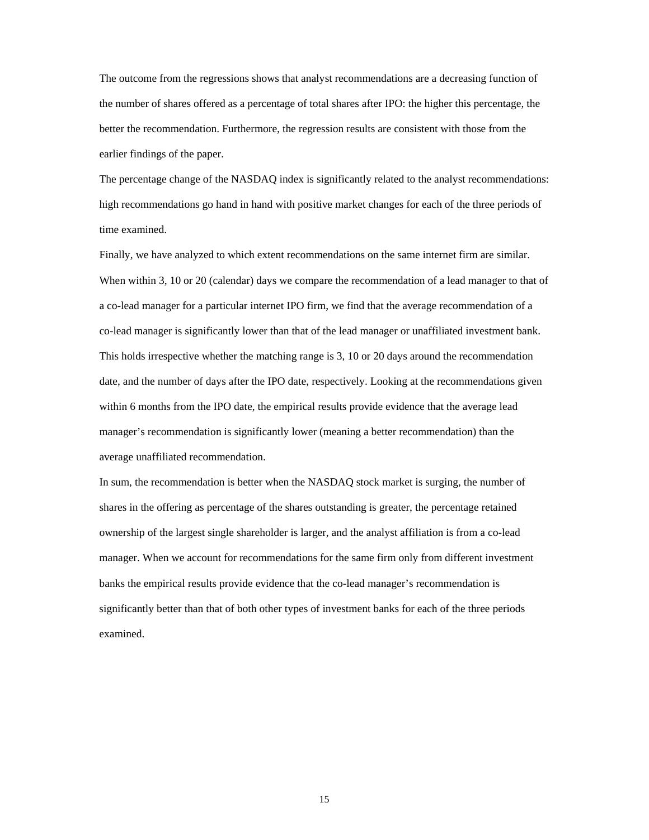The outcome from the regressions shows that analyst recommendations are a decreasing function of the number of shares offered as a percentage of total shares after IPO: the higher this percentage, the better the recommendation. Furthermore, the regression results are consistent with those from the earlier findings of the paper.

The percentage change of the NASDAQ index is significantly related to the analyst recommendations: high recommendations go hand in hand with positive market changes for each of the three periods of time examined.

Finally, we have analyzed to which extent recommendations on the same internet firm are similar. When within 3, 10 or 20 (calendar) days we compare the recommendation of a lead manager to that of a co-lead manager for a particular internet IPO firm, we find that the average recommendation of a co-lead manager is significantly lower than that of the lead manager or unaffiliated investment bank. This holds irrespective whether the matching range is 3, 10 or 20 days around the recommendation date, and the number of days after the IPO date, respectively. Looking at the recommendations given within 6 months from the IPO date, the empirical results provide evidence that the average lead manager's recommendation is significantly lower (meaning a better recommendation) than the average unaffiliated recommendation.

In sum, the recommendation is better when the NASDAQ stock market is surging, the number of shares in the offering as percentage of the shares outstanding is greater, the percentage retained ownership of the largest single shareholder is larger, and the analyst affiliation is from a co-lead manager. When we account for recommendations for the same firm only from different investment banks the empirical results provide evidence that the co-lead manager's recommendation is significantly better than that of both other types of investment banks for each of the three periods examined.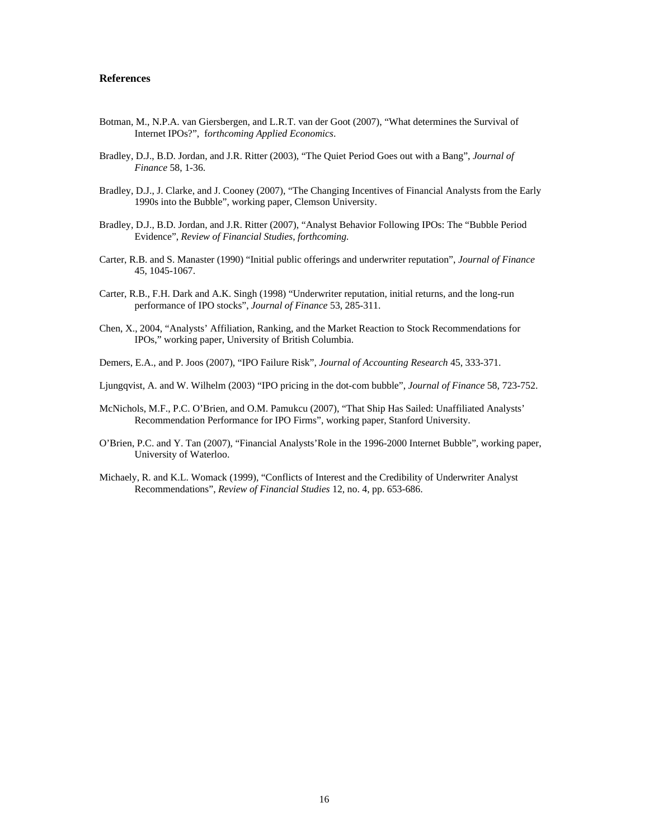#### **References**

- Botman, M., N.P.A. van Giersbergen, and L.R.T. van der Goot (2007), "What determines the Survival of Internet IPOs?", f*orthcoming Applied Economics*.
- Bradley, D.J., B.D. Jordan, and J.R. Ritter (2003), "The Quiet Period Goes out with a Bang", *Journal of Finance* 58, 1-36.
- Bradley, D.J., J. Clarke, and J. Cooney (2007), "The Changing Incentives of Financial Analysts from the Early 1990s into the Bubble", working paper, Clemson University.
- Bradley, D.J., B.D. Jordan, and J.R. Ritter (2007), "Analyst Behavior Following IPOs: The "Bubble Period Evidence", *Review of Financial Studies*, *forthcoming.*
- Carter, R.B. and S. Manaster (1990) "Initial public offerings and underwriter reputation", *Journal of Finance*  45, 1045-1067.
- Carter, R.B., F.H. Dark and A.K. Singh (1998) "Underwriter reputation, initial returns, and the long-run performance of IPO stocks", *Journal of Finance* 53, 285-311.
- Chen, X., 2004, "Analysts' Affiliation, Ranking, and the Market Reaction to Stock Recommendations for IPOs," working paper, University of British Columbia.
- Demers, E.A., and P. Joos (2007), "IPO Failure Risk", *Journal of Accounting Research* 45, 333-371.
- Ljungqvist, A. and W. Wilhelm (2003) "IPO pricing in the dot-com bubble", *Journal of Finance* 58, 723-752.
- McNichols, M.F., P.C. O'Brien, and O.M. Pamukcu (2007), "That Ship Has Sailed: Unaffiliated Analysts' Recommendation Performance for IPO Firms", working paper, Stanford University.
- O'Brien, P.C. and Y. Tan (2007), "Financial Analysts'Role in the 1996-2000 Internet Bubble", working paper, University of Waterloo.
- Michaely, R. and K.L. Womack (1999), "Conflicts of Interest and the Credibility of Underwriter Analyst Recommendations", *Review of Financial Studies* 12, no. 4, pp. 653-686.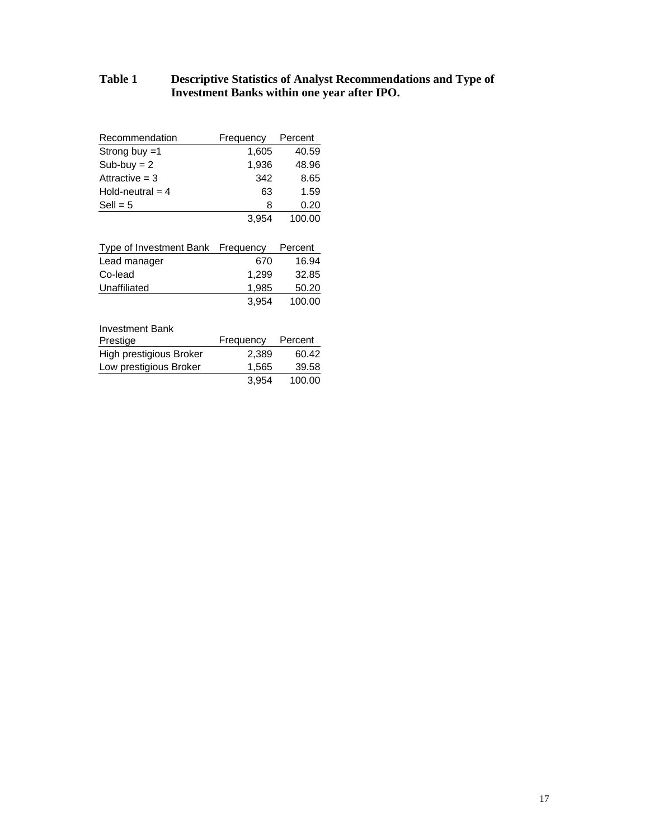## **Table 1 Descriptive Statistics of Analyst Recommendations and Type of Investment Banks within one year after IPO.**

| Recommendation     | Frequency | Percent |
|--------------------|-----------|---------|
| Strong buy $=1$    | 1,605     | 40.59   |
| $Sub-buy = 2$      | 1,936     | 48.96   |
| Attractive $=$ 3   | 342       | 8.65    |
| Hold-neutral $=$ 4 | 63        | 1.59    |
| $Sell = 5$         | 8         | 0.20    |
|                    | 3.954     | 100.00  |

| Type of Investment Bank Frequency |       | Percent |
|-----------------------------------|-------|---------|
| Lead manager                      | 670   | 16.94   |
| Co-lead                           | 1.299 | 32.85   |
| Unaffiliated                      | 1,985 | 50.20   |
|                                   | 3.954 | 100.00  |

| <b>Investment Bank</b>  |           |         |
|-------------------------|-----------|---------|
| Prestige                | Frequency | Percent |
| High prestigious Broker | 2.389     | 60.42   |
| Low prestigious Broker  | 1.565     | 39.58   |
|                         | 3.954     | 100.00  |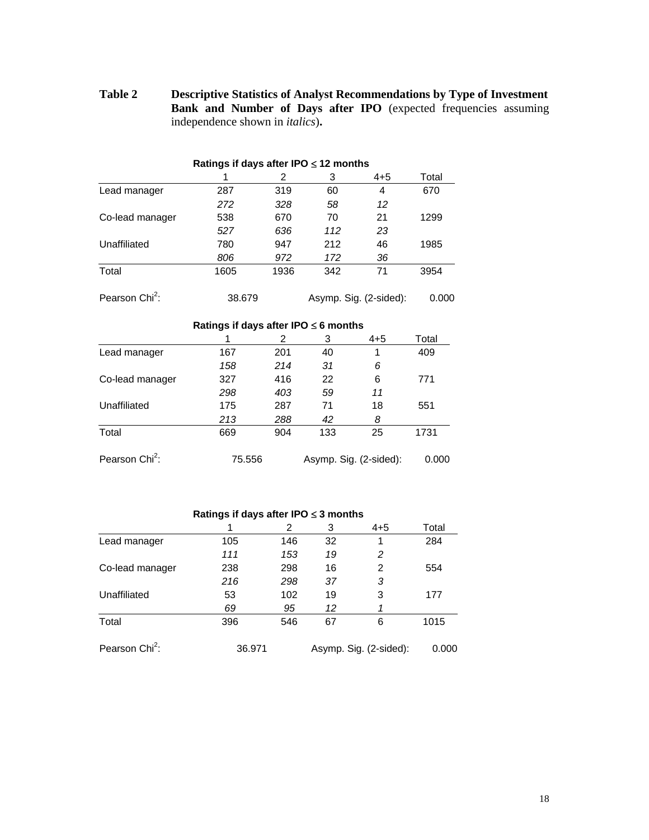**Table 2 Descriptive Statistics of Analyst Recommendations by Type of Investment Bank and Number of Days after IPO** (expected frequencies assuming independence shown in *italics*)**.** 

|                                           |        | 2    | 3                      | $4 + 5$                | Total |  |  |  |  |  |
|-------------------------------------------|--------|------|------------------------|------------------------|-------|--|--|--|--|--|
| Lead manager                              | 287    | 319  | 60                     | 4                      | 670   |  |  |  |  |  |
|                                           | 272    | 328  | 58                     | 12                     |       |  |  |  |  |  |
| Co-lead manager                           | 538    | 670  | 70                     | 21                     | 1299  |  |  |  |  |  |
|                                           | 527    | 636  | 112                    | 23                     |       |  |  |  |  |  |
| Unaffiliated                              | 780    | 947  | 212                    | 46                     | 1985  |  |  |  |  |  |
|                                           | 806    | 972  | 172                    | 36                     |       |  |  |  |  |  |
| Total                                     | 1605   | 1936 | 342                    | 71                     | 3954  |  |  |  |  |  |
| Pearson Chi <sup>2</sup> :                | 38.679 |      |                        | Asymp. Sig. (2-sided): | 0.000 |  |  |  |  |  |
| Ratings if days after IPO $\leq 6$ months |        |      |                        |                        |       |  |  |  |  |  |
|                                           |        | 2    | 3                      | $4 + 5$                | Total |  |  |  |  |  |
| Lead manager                              | 167    | 201  | 40                     | 1                      | 409   |  |  |  |  |  |
|                                           | 158    | 214  | 31                     | 6                      |       |  |  |  |  |  |
| Co-lead manager                           | 327    | 416  | 22                     | 6                      | 771   |  |  |  |  |  |
|                                           | 298    | 403  | 59                     | 11                     |       |  |  |  |  |  |
| Unaffiliated                              | 175    | 287  | 71                     | 18                     | 551   |  |  |  |  |  |
|                                           | 213    | 288  | 42                     | 8                      |       |  |  |  |  |  |
| Total                                     | 669    | 904  | 133                    | 25                     | 1731  |  |  |  |  |  |
| Pearson Chi <sup>2</sup> :                | 75.556 |      | Asymp. Sig. (2-sided): |                        | 0.000 |  |  |  |  |  |

#### **Ratings if days after IPO** ≤ **12 months**

### **Ratings if days after IPO** ≤ **3 months**

|                            |        | 2   | 3  | $4 + 5$                | Total |
|----------------------------|--------|-----|----|------------------------|-------|
| Lead manager               | 105    | 146 | 32 | 1                      | 284   |
|                            | 111    | 153 | 19 | 2                      |       |
| Co-lead manager            | 238    | 298 | 16 | 2                      | 554   |
|                            | 216    | 298 | 37 | 3                      |       |
| Unaffiliated               | 53     | 102 | 19 | 3                      | 177   |
|                            | 69     | 95  | 12 |                        |       |
| Total                      | 396    | 546 | 67 | 6                      | 1015  |
| Pearson Chi <sup>2</sup> : | 36.971 |     |    | Asymp. Sig. (2-sided): | 0.000 |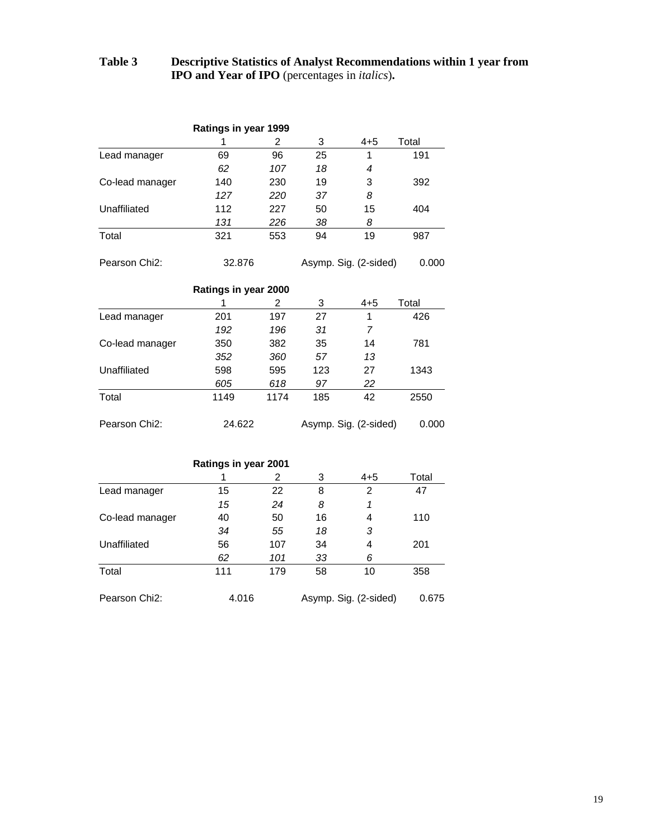# **Table 3 Descriptive Statistics of Analyst Recommendations within 1 year from IPO and Year of IPO** (percentages in *italics*)**.**

|                            | Ratings in year 1999 |     |    |                       |       |
|----------------------------|----------------------|-----|----|-----------------------|-------|
|                            |                      | 2   | 3  | $4 + 5$               | Total |
| Lead manager               | 69                   | 96  | 25 | 1                     | 191   |
|                            | 62                   | 107 | 18 | 4                     |       |
| Co-lead manager            | 140                  | 230 | 19 | 3                     | 392   |
|                            | 127                  | 220 | 37 | 8                     |       |
| Unaffiliated               | 112                  | 227 | 50 | 15                    | 404   |
|                            | 131                  | 226 | 38 | 8                     |       |
| Total                      | 321                  | 553 | 94 | 19                    | 987   |
| Pearson Chi <sub>2</sub> : | 32.876               |     |    | Asymp. Sig. (2-sided) | 0.000 |

|                            | Ratings in year 2000 |      |     |                       |       |
|----------------------------|----------------------|------|-----|-----------------------|-------|
|                            |                      | 2    | 3   | $4 + 5$               | Total |
| Lead manager               | 201                  | 197  | 27  |                       | 426   |
|                            | 192                  | 196  | 31  | 7                     |       |
| Co-lead manager            | 350                  | 382  | 35  | 14                    | 781   |
|                            | 352                  | 360  | 57  | 13                    |       |
| Unaffiliated               | 598                  | 595  | 123 | 27                    | 1343  |
|                            | 605                  | 618  | 97  | 22                    |       |
| Total                      | 1149                 | 1174 | 185 | 42                    | 2550  |
| Pearson Chi <sub>2</sub> : | 24.622               |      |     | Asymp. Sig. (2-sided) | 0.000 |

|                            | Ratings in year 2001 |     |    |                       |       |
|----------------------------|----------------------|-----|----|-----------------------|-------|
|                            |                      | 2   | 3  | $4 + 5$               | Total |
| Lead manager               | 15                   | 22  | 8  | 2                     | 47    |
|                            | 15                   | 24  | 8  | 1                     |       |
| Co-lead manager            | 40                   | 50  | 16 | 4                     | 110   |
|                            | 34                   | 55  | 18 | 3                     |       |
| Unaffiliated               | 56                   | 107 | 34 | 4                     | 201   |
|                            | 62                   | 101 | 33 | 6                     |       |
| Total                      | 111                  | 179 | 58 | 10                    | 358   |
| Pearson Chi <sub>2</sub> : | 4.016                |     |    | Asymp. Sig. (2-sided) | 0.675 |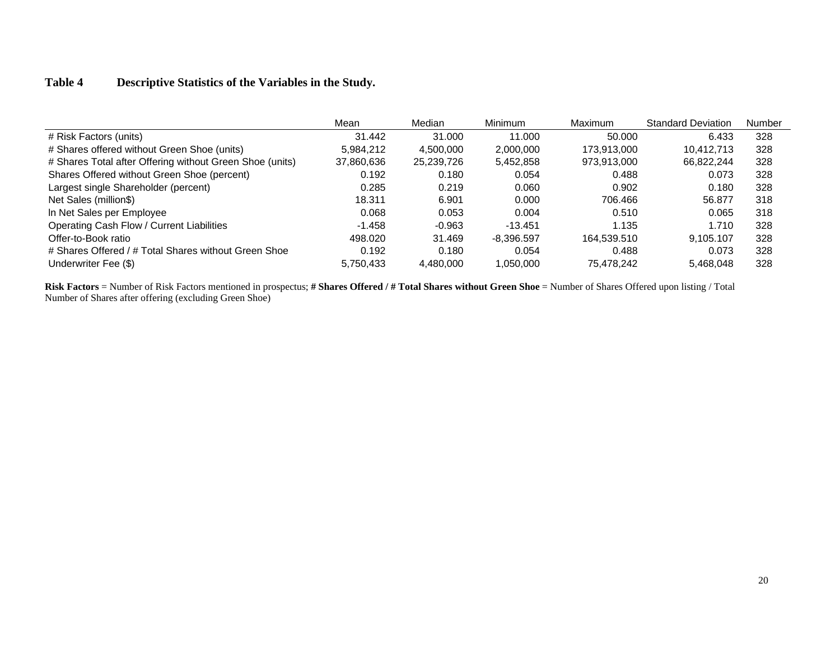# **Table 4 Descriptive Statistics of the Variables in the Study.**

|                                                          | Mean       | Median     | <b>Minimum</b> | <b>Maximum</b> | <b>Standard Deviation</b> | Number |
|----------------------------------------------------------|------------|------------|----------------|----------------|---------------------------|--------|
| # Risk Factors (units)                                   | 31.442     | 31.000     | 11.000         | 50.000         | 6.433                     | 328    |
| # Shares offered without Green Shoe (units)              | 5.984.212  | 4.500.000  | 2,000,000      | 173.913.000    | 10.412.713                | 328    |
| # Shares Total after Offering without Green Shoe (units) | 37,860,636 | 25,239,726 | 5,452,858      | 973,913,000    | 66,822,244                | 328    |
| Shares Offered without Green Shoe (percent)              | 0.192      | 0.180      | 0.054          | 0.488          | 0.073                     | 328    |
| Largest single Shareholder (percent)                     | 0.285      | 0.219      | 0.060          | 0.902          | 0.180                     | 328    |
| Net Sales (million\$)                                    | 18.311     | 6.901      | 0.000          | 706.466        | 56.877                    | 318    |
| In Net Sales per Employee                                | 0.068      | 0.053      | 0.004          | 0.510          | 0.065                     | 318    |
| Operating Cash Flow / Current Liabilities                | $-1.458$   | $-0.963$   | $-13.451$      | 1.135          | 1.710                     | 328    |
| Offer-to-Book ratio                                      | 498.020    | 31.469     | $-8.396.597$   | 164.539.510    | 9.105.107                 | 328    |
| # Shares Offered / # Total Shares without Green Shoe     | 0.192      | 0.180      | 0.054          | 0.488          | 0.073                     | 328    |
| Underwriter Fee (\$)                                     | 5.750.433  | 4.480.000  | 1,050,000      | 75.478.242     | 5.468.048                 | 328    |

Risk Factors = Number of Risk Factors mentioned in prospectus; # Shares Offered / # Total Shares without Green Shoe = Number of Shares Offered upon listing / Total Number of Shares after offering (excluding Green Shoe)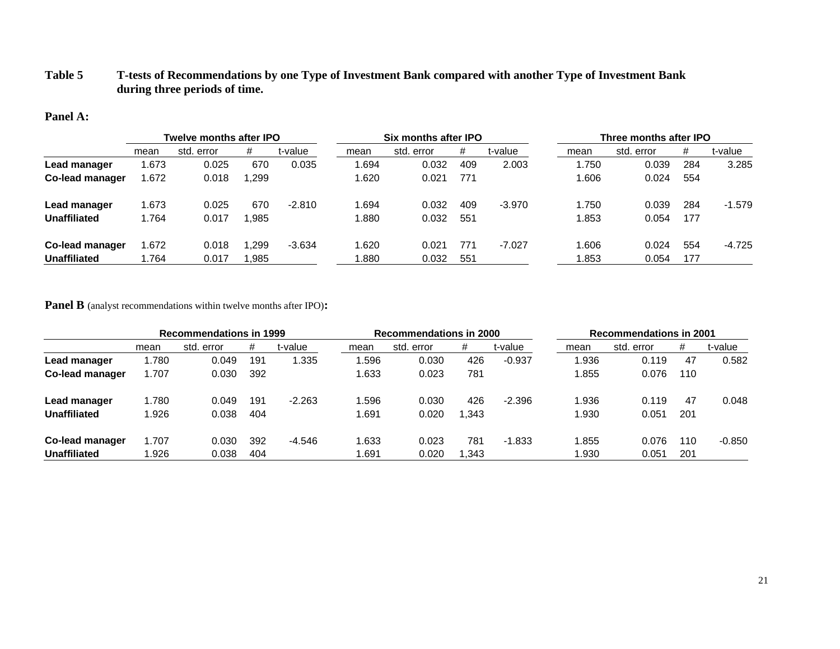## **Table 5 T-tests of Recommendations by one Type of Investment Bank compared with another Type of Investment Bank during three periods of time.**

#### **Panel A:**

|                     | Twelve months after IPO |            |        |          | Six months after IPO |            |     |          |       | Three months after IPO |     |          |  |
|---------------------|-------------------------|------------|--------|----------|----------------------|------------|-----|----------|-------|------------------------|-----|----------|--|
|                     | mean                    | std. error | #      | t-value  | mean                 | std. error | #   | t-value  | mean  | std. error             | #   | t-value  |  |
| Lead manager        | .673                    | 0.025      | 670    | 0.035    | 1.694                | 0.032      | 409 | 2.003    | 1.750 | 0.039                  | 284 | 3.285    |  |
| Co-lead manager     | .672                    | 0.018      | 299. ا |          | 1.620                | 0.021      | 771 |          | 1.606 | 0.024                  | 554 |          |  |
| Lead manager        | .673                    | 0.025      | 670    | $-2.810$ | 1.694                | 0.032      | 409 | $-3.970$ | 1.750 | 0.039                  | 284 | $-1.579$ |  |
| Unaffiliated        | .764                    | 0.017      | .985   |          | 1.880                | 0.032      | 551 |          | .853  | 0.054                  | 177 |          |  |
| Co-lead manager     | .672                    | 0.018      | .299   | $-3.634$ | 1.620                | 0.021      | 771 | $-7.027$ | .606  | 0.024                  | 554 | -4.725   |  |
| <b>Unaffiliated</b> | .764                    | 0.017      | .985   |          | 0.880                | 0.032      | 551 |          | .853  | 0.054                  | 177 |          |  |

**Panel B** (analyst recommendations within twelve months after IPO)**:**

|                        | <b>Recommendations in 1999</b> |            |     |          | <b>Recommendations in 2000</b> |            |      |          | <b>Recommendations in 2001</b> |            |     |          |
|------------------------|--------------------------------|------------|-----|----------|--------------------------------|------------|------|----------|--------------------------------|------------|-----|----------|
|                        | mean                           | std. error | #   | t-value  | mean                           | std. error | #    | t-value  | mean                           | std. error | #   | t-value  |
| Lead manager           | 1.780                          | 0.049      | 191 | 1.335    | 1.596                          | 0.030      | 426  | $-0.937$ | .936                           | 0.119      | 47  | 0.582    |
| <b>Co-lead manager</b> | 1.707                          | 0.030      | 392 |          | 1.633                          | 0.023      | 781  |          | .855                           | 0.076      | 110 |          |
| Lead manager           | 1.780                          | 0.049      | 191 | $-2.263$ | 1.596                          | 0.030      | 426  | $-2.396$ | .936                           | 0.119      | 47  | 0.048    |
| Unaffiliated           | 1.926                          | 0.038      | 404 |          | 1.691                          | 0.020      | .343 |          | .930                           | 0.051      | 201 |          |
| Co-lead manager        | 1.707                          | 0.030      | 392 | $-4.546$ | 1.633                          | 0.023      | 781  | $-1.833$ | .855                           | 0.076      | 110 | $-0.850$ |
| <b>Unaffiliated</b>    | 1.926                          | 0.038      | 404 |          | 1.691                          | 0.020      | .343 |          | .930                           | 0.051      | 201 |          |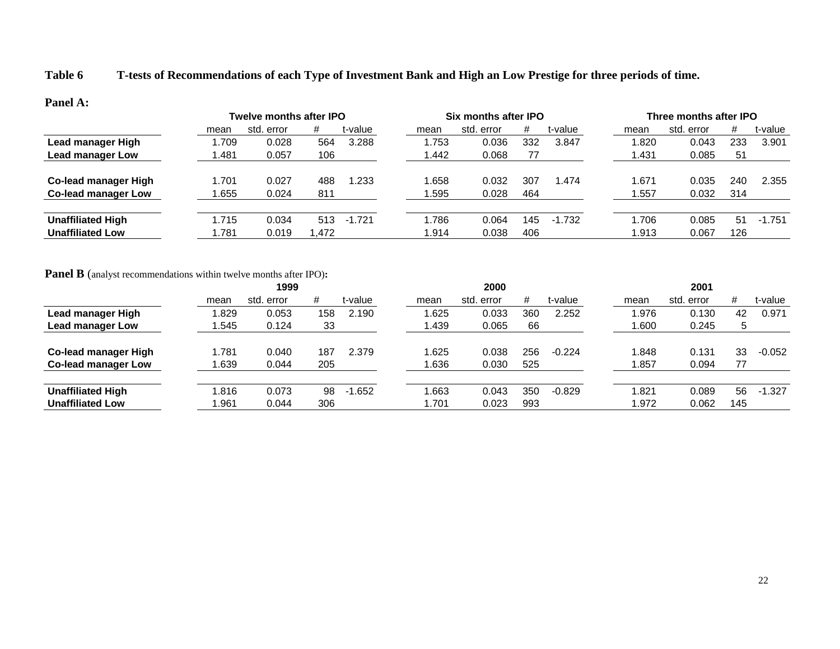# **Table 6 T-tests of Recommendations of each Type of Investment Bank and High an Low Prestige for three periods of time.**

#### **Panel A:**

|                          | Twelve months after IPO |            |       |          |       | Six months after IPO |     |          |       | Three months after IPO |     |          |  |
|--------------------------|-------------------------|------------|-------|----------|-------|----------------------|-----|----------|-------|------------------------|-----|----------|--|
|                          | mean                    | std. error | #     | t-value  | mean  | std. error           | #   | t-value  | mean  | std. error             | #   | t-value  |  |
| Lead manager High        | .709                    | 0.028      | 564   | 3.288    | .753  | 0.036                | 332 | 3.847    | 1.820 | 0.043                  | 233 | 3.901    |  |
| Lead manager Low         | .481                    | 0.057      | 106   |          | 1.442 | 0.068                | 77  |          | ∣.431 | 0.085                  | 51  |          |  |
| Co-lead manager High     | .701                    | 0.027      | 488   | 1.233    | .658  | 0.032                | 307 | .474     | 1.671 | 0.035                  | 240 | 2.355    |  |
| Co-lead manager Low      | .655                    | 0.024      | 811   |          | .595  | 0.028                | 464 |          | .557  | 0.032                  | 314 |          |  |
| <b>Unaffiliated High</b> | .715                    | 0.034      | 513   | $-1.721$ | .786  | 0.064                | 145 | $-1.732$ | 1.706 | 0.085                  | 51  | $-1.751$ |  |
| <b>Unaffiliated Low</b>  | .781                    | 0.019      | l.472 |          | 1.914 | 0.038                | 406 |          | 1.913 | 0.067                  | 126 |          |  |

## **Panel B** (analyst recommendations within twelve months after IPO)**:**

|                            |      | 1999       |     |          |       | 2000       |     |          |       | 2001       |     |          |  |  |  |
|----------------------------|------|------------|-----|----------|-------|------------|-----|----------|-------|------------|-----|----------|--|--|--|
|                            | mean | std. error | #   | t-value  | mean  | std. error | #   | t-value  | mean  | std. error | #   | t-value  |  |  |  |
| Lead manager High          | .829 | 0.053      | 158 | 2.190    | .625  | 0.033      | 360 | 2.252    | 1.976 | 0.130      | 42  | 0.971    |  |  |  |
| Lead manager Low           | .545 | 0.124      | 33  |          | 1.439 | 0.065      | 66  |          | 1.600 | 0.245      | 5   |          |  |  |  |
| Co-lead manager High       | .781 | 0.040      | 187 | 2.379    | .625  | 0.038      | 256 | $-0.224$ | 1.848 | 0.131      | 33  | $-0.052$ |  |  |  |
| <b>Co-lead manager Low</b> | .639 | 0.044      | 205 |          | 1.636 | 0.030      | 525 |          | 1.857 | 0.094      | 77  |          |  |  |  |
| <b>Unaffiliated High</b>   | .816 | 0.073      | 98  | $-1.652$ | .663  | 0.043      | 350 | $-0.829$ | 1.821 | 0.089      | 56  | $-1.327$ |  |  |  |
| <b>Unaffiliated Low</b>    | .961 | 0.044      | 306 |          | 1.701 | 0.023      | 993 |          | 1.972 | 0.062      | 145 |          |  |  |  |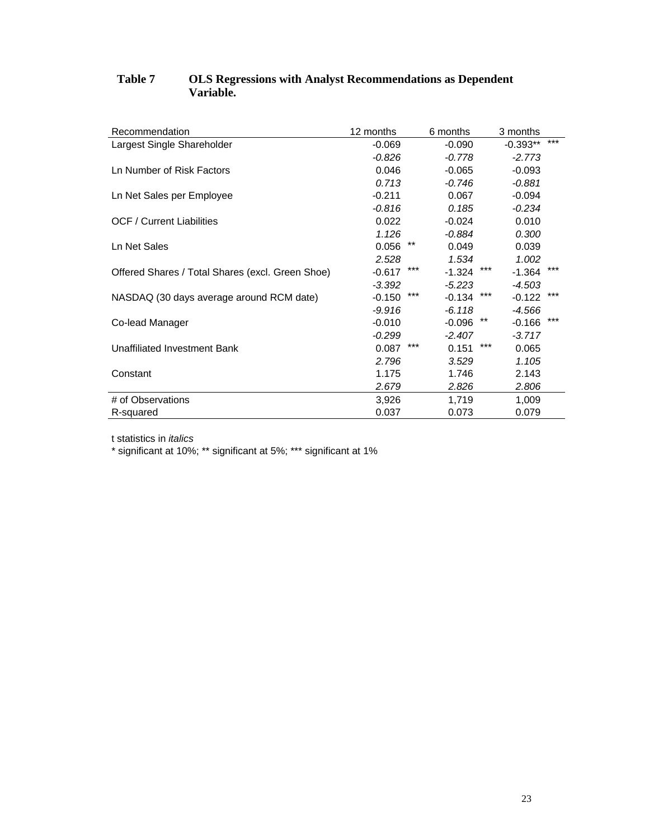| Recommendation                                   | 12 months       | 6 months          | 3 months          |
|--------------------------------------------------|-----------------|-------------------|-------------------|
| Largest Single Shareholder                       | $-0.069$        | $-0.090$          | ***<br>$-0.393**$ |
|                                                  | $-0.826$        | $-0.778$          | $-2.773$          |
| Ln Number of Risk Factors                        | 0.046           | $-0.065$          | $-0.093$          |
|                                                  | 0.713           | $-0.746$          | $-0.881$          |
| Ln Net Sales per Employee                        | $-0.211$        | 0.067             | $-0.094$          |
|                                                  | $-0.816$        | 0.185             | $-0.234$          |
| <b>OCF / Current Liabilities</b>                 | 0.022           | $-0.024$          | 0.010             |
|                                                  | 1.126           | $-0.884$          | 0.300             |
| Ln Net Sales                                     | $***$<br>0.056  | 0.049             | 0.039             |
|                                                  | 2.528           | 1.534             | 1.002             |
| Offered Shares / Total Shares (excl. Green Shoe) | ***<br>$-0.617$ | ***<br>$-1.324$   | ***<br>$-1.364$   |
|                                                  | $-3.392$        | $-5.223$          | $-4.503$          |
| NASDAQ (30 days average around RCM date)         | ***<br>$-0.150$ | ***<br>$-0.134$   | ***<br>$-0.122$   |
|                                                  | $-9.916$        | $-6.118$          | -4.566            |
| Co-lead Manager                                  | $-0.010$        | $***$<br>$-0.096$ | ***<br>$-0.166$   |
|                                                  | $-0.299$        | $-2.407$          | $-3.717$          |
| Unaffiliated Investment Bank                     | ***<br>0.087    | ***<br>0.151      | 0.065             |
|                                                  | 2.796           | 3.529             | 1.105             |
| Constant                                         | 1.175           | 1.746             | 2.143             |
|                                                  | 2.679           | 2.826             | 2.806             |
| # of Observations                                | 3,926           | 1,719             | 1,009             |
| R-squared                                        | 0.037           | 0.073             | 0.079             |

# **Table 7 OLS Regressions with Analyst Recommendations as Dependent Variable.**

t statistics in *italics*

\* significant at 10%; \*\* significant at 5%; \*\*\* significant at 1%